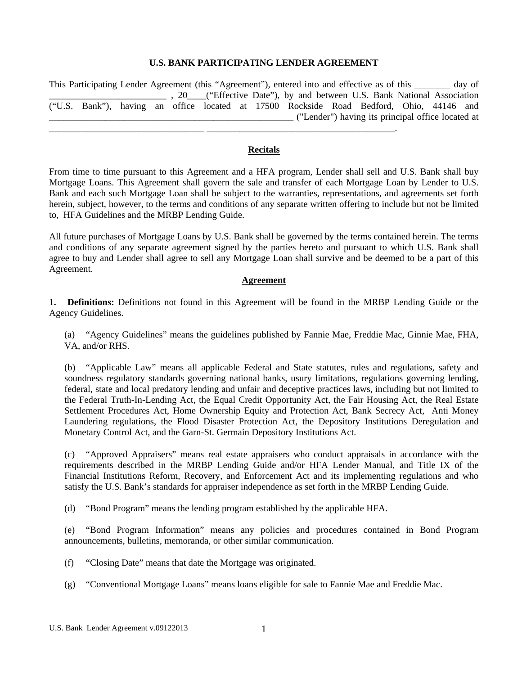## **U.S. BANK PARTICIPATING LENDER AGREEMENT**

This Participating Lender Agreement (this "Agreement"), entered into and effective as of this \_\_\_\_\_\_ day of \_\_\_\_\_\_\_\_\_\_\_\_\_\_\_\_\_\_\_\_\_\_\_\_\_ , 20\_\_\_\_("Effective Date"), by and between U.S. Bank National Association ("U.S. Bank"), having an office located at 17500 Rockside Road Bedford, Ohio, 44146 and \_\_\_\_\_\_\_\_\_\_\_\_\_\_\_\_\_\_\_\_\_\_\_\_\_\_\_\_\_\_\_\_\_\_\_\_\_\_\_\_\_\_\_\_\_\_\_\_\_\_\_\_ ("Lender") having its principal office located at

### **Recitals**

\_\_\_\_\_\_\_\_\_\_\_\_\_\_\_\_\_\_\_\_\_\_\_\_\_\_\_\_\_\_\_\_\_ \_\_\_\_\_\_\_\_\_\_\_\_\_\_\_\_\_\_\_\_\_\_\_\_\_\_\_\_\_\_\_\_\_\_\_\_\_\_\_\_.

From time to time pursuant to this Agreement and a HFA program, Lender shall sell and U.S. Bank shall buy Mortgage Loans. This Agreement shall govern the sale and transfer of each Mortgage Loan by Lender to U.S. Bank and each such Mortgage Loan shall be subject to the warranties, representations, and agreements set forth herein, subject, however, to the terms and conditions of any separate written offering to include but not be limited to, HFA Guidelines and the MRBP Lending Guide.

All future purchases of Mortgage Loans by U.S. Bank shall be governed by the terms contained herein. The terms and conditions of any separate agreement signed by the parties hereto and pursuant to which U.S. Bank shall agree to buy and Lender shall agree to sell any Mortgage Loan shall survive and be deemed to be a part of this Agreement.

#### **Agreement**

**1. Definitions:** Definitions not found in this Agreement will be found in the MRBP Lending Guide or the Agency Guidelines.

(a) "Agency Guidelines" means the guidelines published by Fannie Mae, Freddie Mac, Ginnie Mae, FHA, VA, and/or RHS.

(b) "Applicable Law" means all applicable Federal and State statutes, rules and regulations, safety and soundness regulatory standards governing national banks, usury limitations, regulations governing lending, federal, state and local predatory lending and unfair and deceptive practices laws, including but not limited to the Federal Truth-In-Lending Act, the Equal Credit Opportunity Act, the Fair Housing Act, the Real Estate Settlement Procedures Act, Home Ownership Equity and Protection Act, Bank Secrecy Act, Anti Money Laundering regulations, the Flood Disaster Protection Act, the Depository Institutions Deregulation and Monetary Control Act, and the Garn-St. Germain Depository Institutions Act.

(c) "Approved Appraisers" means real estate appraisers who conduct appraisals in accordance with the requirements described in the MRBP Lending Guide and/or HFA Lender Manual, and Title IX of the Financial Institutions Reform, Recovery, and Enforcement Act and its implementing regulations and who satisfy the U.S. Bank's standards for appraiser independence as set forth in the MRBP Lending Guide.

(d) "Bond Program" means the lending program established by the applicable HFA.

(e) "Bond Program Information" means any policies and procedures contained in Bond Program announcements, bulletins, memoranda, or other similar communication.

- (f) "Closing Date" means that date the Mortgage was originated.
- (g) "Conventional Mortgage Loans" means loans eligible for sale to Fannie Mae and Freddie Mac.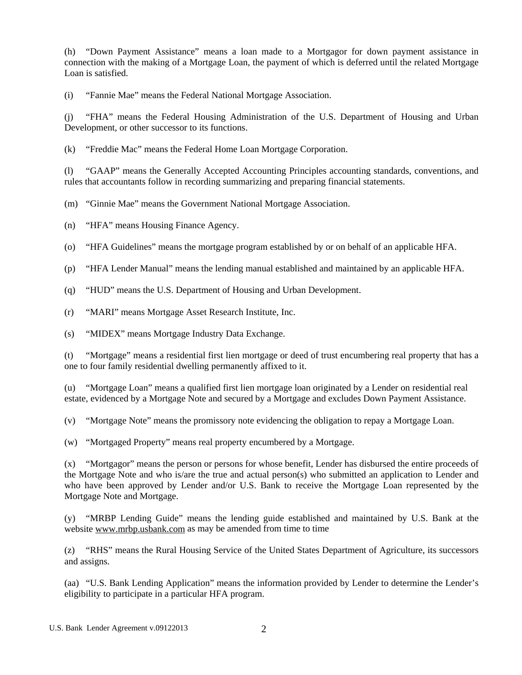(h) "Down Payment Assistance" means a loan made to a Mortgagor for down payment assistance in connection with the making of a Mortgage Loan, the payment of which is deferred until the related Mortgage Loan is satisfied.

(i) "Fannie Mae" means the Federal National Mortgage Association.

(j) "FHA" means the Federal Housing Administration of the U.S. Department of Housing and Urban Development, or other successor to its functions.

(k) "Freddie Mac" means the Federal Home Loan Mortgage Corporation.

(l) "GAAP" means the Generally Accepted Accounting Principles accounting standards, conventions, and rules that accountants follow in recording summarizing and preparing financial statements.

(m) "Ginnie Mae" means the Government National Mortgage Association.

(n) "HFA" means Housing Finance Agency.

(o) "HFA Guidelines" means the mortgage program established by or on behalf of an applicable HFA.

(p) "HFA Lender Manual" means the lending manual established and maintained by an applicable HFA.

(q) "HUD" means the U.S. Department of Housing and Urban Development.

(r) "MARI" means Mortgage Asset Research Institute, Inc.

(s) "MIDEX" means Mortgage Industry Data Exchange.

(t) "Mortgage" means a residential first lien mortgage or deed of trust encumbering real property that has a one to four family residential dwelling permanently affixed to it.

(u) "Mortgage Loan" means a qualified first lien mortgage loan originated by a Lender on residential real estate, evidenced by a Mortgage Note and secured by a Mortgage and excludes Down Payment Assistance.

(v) "Mortgage Note" means the promissory note evidencing the obligation to repay a Mortgage Loan.

(w) "Mortgaged Property" means real property encumbered by a Mortgage.

(x) "Mortgagor" means the person or persons for whose benefit, Lender has disbursed the entire proceeds of the Mortgage Note and who is/are the true and actual person(s) who submitted an application to Lender and who have been approved by Lender and/or U.S. Bank to receive the Mortgage Loan represented by the Mortgage Note and Mortgage.

(y) "MRBP Lending Guide" means the lending guide established and maintained by U.S. Bank at the website www.mrbp.usbank.com as may be amended from time to time

(z) "RHS" means the Rural Housing Service of the United States Department of Agriculture, its successors and assigns.

(aa) "U.S. Bank Lending Application" means the information provided by Lender to determine the Lender's eligibility to participate in a particular HFA program.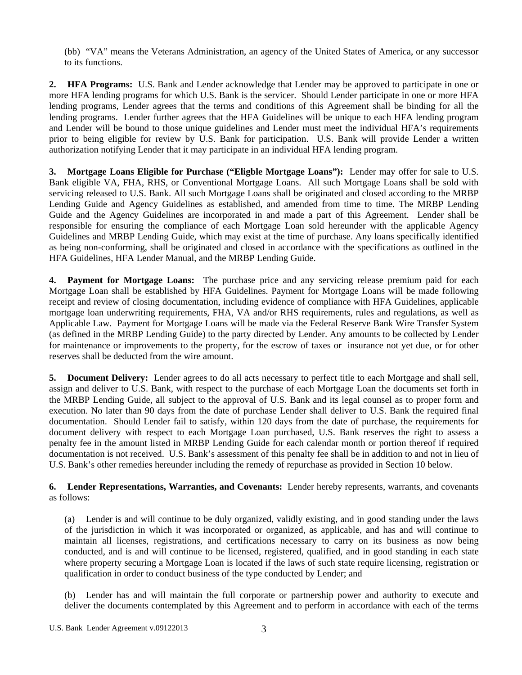(bb) "VA" means the Veterans Administration, an agency of the United States of America, or any successor to its functions.

**2. HFA Programs:** U.S. Bank and Lender acknowledge that Lender may be approved to participate in one or more HFA lending programs for which U.S. Bank is the servicer. Should Lender participate in one or more HFA lending programs, Lender agrees that the terms and conditions of this Agreement shall be binding for all the lending programs. Lender further agrees that the HFA Guidelines will be unique to each HFA lending program and Lender will be bound to those unique guidelines and Lender must meet the individual HFA's requirements prior to being eligible for review by U.S. Bank for participation. U.S. Bank will provide Lender a written authorization notifying Lender that it may participate in an individual HFA lending program.

**3. Mortgage Loans Eligible for Purchase ("Eligble Mortgage Loans"):** Lender may offer for sale to U.S. Bank eligible VA, FHA, RHS, or Conventional Mortgage Loans. All such Mortgage Loans shall be sold with servicing released to U.S. Bank. All such Mortgage Loans shall be originated and closed according to the MRBP Lending Guide and Agency Guidelines as established, and amended from time to time. The MRBP Lending Guide and the Agency Guidelines are incorporated in and made a part of this Agreement. Lender shall be responsible for ensuring the compliance of each Mortgage Loan sold hereunder with the applicable Agency Guidelines and MRBP Lending Guide, which may exist at the time of purchase. Any loans specifically identified as being non-conforming, shall be originated and closed in accordance with the specifications as outlined in the HFA Guidelines, HFA Lender Manual, and the MRBP Lending Guide.

**4. Payment for Mortgage Loans:** The purchase price and any servicing release premium paid for each Mortgage Loan shall be established by HFA Guidelines. Payment for Mortgage Loans will be made following receipt and review of closing documentation, including evidence of compliance with HFA Guidelines, applicable mortgage loan underwriting requirements, FHA, VA and/or RHS requirements, rules and regulations, as well as Applicable Law. Payment for Mortgage Loans will be made via the Federal Reserve Bank Wire Transfer System (as defined in the MRBP Lending Guide) to the party directed by Lender. Any amounts to be collected by Lender for maintenance or improvements to the property, for the escrow of taxes or insurance not yet due, or for other reserves shall be deducted from the wire amount.

**5. Document Delivery:** Lender agrees to do all acts necessary to perfect title to each Mortgage and shall sell, assign and deliver to U.S. Bank, with respect to the purchase of each Mortgage Loan the documents set forth in the MRBP Lending Guide, all subject to the approval of U.S. Bank and its legal counsel as to proper form and execution. No later than 90 days from the date of purchase Lender shall deliver to U.S. Bank the required final documentation. Should Lender fail to satisfy, within 120 days from the date of purchase, the requirements for document delivery with respect to each Mortgage Loan purchased, U.S. Bank reserves the right to assess a penalty fee in the amount listed in MRBP Lending Guide for each calendar month or portion thereof if required documentation is not received. U.S. Bank's assessment of this penalty fee shall be in addition to and not in lieu of U.S. Bank's other remedies hereunder including the remedy of repurchase as provided in Section 10 below.

**6. Lender Representations, Warranties, and Covenants:** Lender hereby represents, warrants, and covenants as follows:

(a) Lender is and will continue to be duly organized, validly existing, and in good standing under the laws of the jurisdiction in which it was incorporated or organized, as applicable, and has and will continue to maintain all licenses, registrations, and certifications necessary to carry on its business as now being conducted, and is and will continue to be licensed, registered, qualified, and in good standing in each state where property securing a Mortgage Loan is located if the laws of such state require licensing, registration or qualification in order to conduct business of the type conducted by Lender; and

(b) Lender has and will maintain the full corporate or partnership power and authority to execute and deliver the documents contemplated by this Agreement and to perform in accordance with each of the terms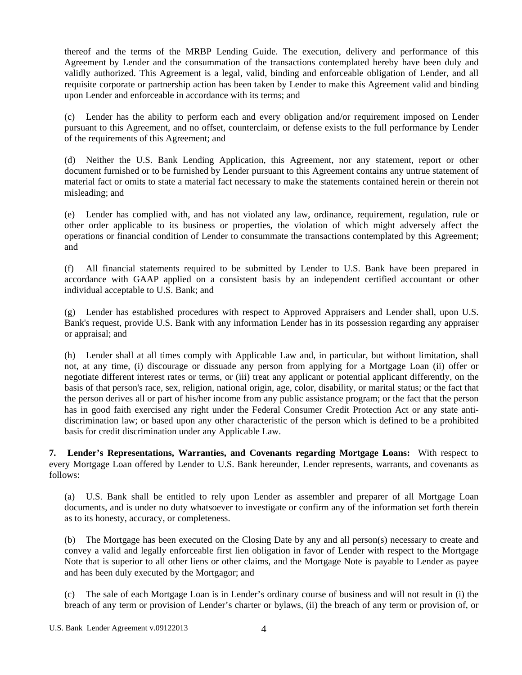thereof and the terms of the MRBP Lending Guide. The execution, delivery and performance of this Agreement by Lender and the consummation of the transactions contemplated hereby have been duly and validly authorized. This Agreement is a legal, valid, binding and enforceable obligation of Lender, and all requisite corporate or partnership action has been taken by Lender to make this Agreement valid and binding upon Lender and enforceable in accordance with its terms; and

(c) Lender has the ability to perform each and every obligation and/or requirement imposed on Lender pursuant to this Agreement, and no offset, counterclaim, or defense exists to the full performance by Lender of the requirements of this Agreement; and

(d) Neither the U.S. Bank Lending Application, this Agreement, nor any statement, report or other document furnished or to be furnished by Lender pursuant to this Agreement contains any untrue statement of material fact or omits to state a material fact necessary to make the statements contained herein or therein not misleading; and

(e) Lender has complied with, and has not violated any law, ordinance, requirement, regulation, rule or other order applicable to its business or properties, the violation of which might adversely affect the operations or financial condition of Lender to consummate the transactions contemplated by this Agreement; and

(f) All financial statements required to be submitted by Lender to U.S. Bank have been prepared in accordance with GAAP applied on a consistent basis by an independent certified accountant or other individual acceptable to U.S. Bank; and

(g) Lender has established procedures with respect to Approved Appraisers and Lender shall, upon U.S. Bank's request, provide U.S. Bank with any information Lender has in its possession regarding any appraiser or appraisal; and

(h) Lender shall at all times comply with Applicable Law and, in particular, but without limitation, shall not, at any time, (i) discourage or dissuade any person from applying for a Mortgage Loan (ii) offer or negotiate different interest rates or terms, or (iii) treat any applicant or potential applicant differently, on the basis of that person's race, sex, religion, national origin, age, color, disability, or marital status; or the fact that the person derives all or part of his/her income from any public assistance program; or the fact that the person has in good faith exercised any right under the Federal Consumer Credit Protection Act or any state antidiscrimination law; or based upon any other characteristic of the person which is defined to be a prohibited basis for credit discrimination under any Applicable Law.

**7. Lender's Representations, Warranties, and Covenants regarding Mortgage Loans:** With respect to every Mortgage Loan offered by Lender to U.S. Bank hereunder, Lender represents, warrants, and covenants as follows:

(a) U.S. Bank shall be entitled to rely upon Lender as assembler and preparer of all Mortgage Loan documents, and is under no duty whatsoever to investigate or confirm any of the information set forth therein as to its honesty, accuracy, or completeness.

(b) The Mortgage has been executed on the Closing Date by any and all person(s) necessary to create and convey a valid and legally enforceable first lien obligation in favor of Lender with respect to the Mortgage Note that is superior to all other liens or other claims, and the Mortgage Note is payable to Lender as payee and has been duly executed by the Mortgagor; and

(c) The sale of each Mortgage Loan is in Lender's ordinary course of business and will not result in (i) the breach of any term or provision of Lender's charter or bylaws, (ii) the breach of any term or provision of, or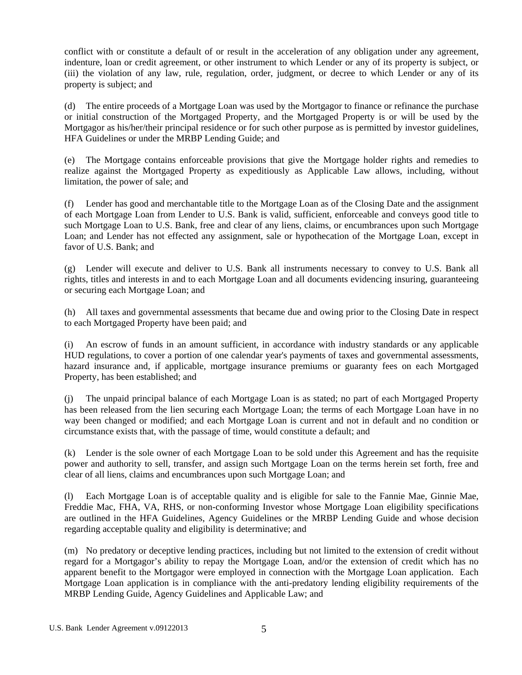conflict with or constitute a default of or result in the acceleration of any obligation under any agreement, indenture, loan or credit agreement, or other instrument to which Lender or any of its property is subject, or (iii) the violation of any law, rule, regulation, order, judgment, or decree to which Lender or any of its property is subject; and

(d) The entire proceeds of a Mortgage Loan was used by the Mortgagor to finance or refinance the purchase or initial construction of the Mortgaged Property, and the Mortgaged Property is or will be used by the Mortgagor as his/her/their principal residence or for such other purpose as is permitted by investor guidelines, HFA Guidelines or under the MRBP Lending Guide; and

(e) The Mortgage contains enforceable provisions that give the Mortgage holder rights and remedies to realize against the Mortgaged Property as expeditiously as Applicable Law allows, including, without limitation, the power of sale; and

(f) Lender has good and merchantable title to the Mortgage Loan as of the Closing Date and the assignment of each Mortgage Loan from Lender to U.S. Bank is valid, sufficient, enforceable and conveys good title to such Mortgage Loan to U.S. Bank, free and clear of any liens, claims, or encumbrances upon such Mortgage Loan; and Lender has not effected any assignment, sale or hypothecation of the Mortgage Loan, except in favor of U.S. Bank; and

(g) Lender will execute and deliver to U.S. Bank all instruments necessary to convey to U.S. Bank all rights, titles and interests in and to each Mortgage Loan and all documents evidencing insuring, guaranteeing or securing each Mortgage Loan; and

(h) All taxes and governmental assessments that became due and owing prior to the Closing Date in respect to each Mortgaged Property have been paid; and

(i) An escrow of funds in an amount sufficient, in accordance with industry standards or any applicable HUD regulations, to cover a portion of one calendar year's payments of taxes and governmental assessments, hazard insurance and, if applicable, mortgage insurance premiums or guaranty fees on each Mortgaged Property, has been established; and

(j) The unpaid principal balance of each Mortgage Loan is as stated; no part of each Mortgaged Property has been released from the lien securing each Mortgage Loan; the terms of each Mortgage Loan have in no way been changed or modified; and each Mortgage Loan is current and not in default and no condition or circumstance exists that, with the passage of time, would constitute a default; and

(k) Lender is the sole owner of each Mortgage Loan to be sold under this Agreement and has the requisite power and authority to sell, transfer, and assign such Mortgage Loan on the terms herein set forth, free and clear of all liens, claims and encumbrances upon such Mortgage Loan; and

(l) Each Mortgage Loan is of acceptable quality and is eligible for sale to the Fannie Mae, Ginnie Mae, Freddie Mac, FHA, VA, RHS, or non-conforming Investor whose Mortgage Loan eligibility specifications are outlined in the HFA Guidelines, Agency Guidelines or the MRBP Lending Guide and whose decision regarding acceptable quality and eligibility is determinative; and

(m) No predatory or deceptive lending practices, including but not limited to the extension of credit without regard for a Mortgagor's ability to repay the Mortgage Loan, and/or the extension of credit which has no apparent benefit to the Mortgagor were employed in connection with the Mortgage Loan application. Each Mortgage Loan application is in compliance with the anti-predatory lending eligibility requirements of the MRBP Lending Guide, Agency Guidelines and Applicable Law; and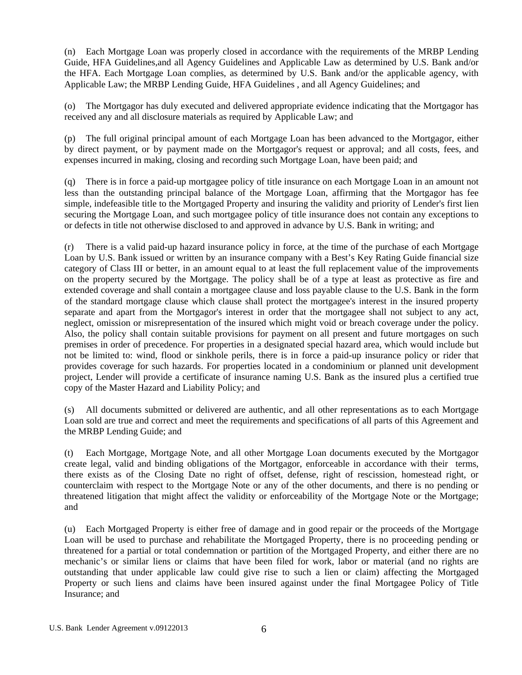(n) Each Mortgage Loan was properly closed in accordance with the requirements of the MRBP Lending Guide, HFA Guidelines,and all Agency Guidelines and Applicable Law as determined by U.S. Bank and/or the HFA. Each Mortgage Loan complies, as determined by U.S. Bank and/or the applicable agency, with Applicable Law; the MRBP Lending Guide, HFA Guidelines , and all Agency Guidelines; and

(o) The Mortgagor has duly executed and delivered appropriate evidence indicating that the Mortgagor has received any and all disclosure materials as required by Applicable Law; and

(p) The full original principal amount of each Mortgage Loan has been advanced to the Mortgagor, either by direct payment, or by payment made on the Mortgagor's request or approval; and all costs, fees, and expenses incurred in making, closing and recording such Mortgage Loan, have been paid; and

(q) There is in force a paid-up mortgagee policy of title insurance on each Mortgage Loan in an amount not less than the outstanding principal balance of the Mortgage Loan, affirming that the Mortgagor has fee simple, indefeasible title to the Mortgaged Property and insuring the validity and priority of Lender's first lien securing the Mortgage Loan, and such mortgagee policy of title insurance does not contain any exceptions to or defects in title not otherwise disclosed to and approved in advance by U.S. Bank in writing; and

(r) There is a valid paid-up hazard insurance policy in force, at the time of the purchase of each Mortgage Loan by U.S. Bank issued or written by an insurance company with a Best's Key Rating Guide financial size category of Class III or better, in an amount equal to at least the full replacement value of the improvements on the property secured by the Mortgage. The policy shall be of a type at least as protective as fire and extended coverage and shall contain a mortgagee clause and loss payable clause to the U.S. Bank in the form of the standard mortgage clause which clause shall protect the mortgagee's interest in the insured property separate and apart from the Mortgagor's interest in order that the mortgagee shall not subject to any act, neglect, omission or misrepresentation of the insured which might void or breach coverage under the policy. Also, the policy shall contain suitable provisions for payment on all present and future mortgages on such premises in order of precedence. For properties in a designated special hazard area, which would include but not be limited to: wind, flood or sinkhole perils, there is in force a paid-up insurance policy or rider that provides coverage for such hazards. For properties located in a condominium or planned unit development project, Lender will provide a certificate of insurance naming U.S. Bank as the insured plus a certified true copy of the Master Hazard and Liability Policy; and

(s) All documents submitted or delivered are authentic, and all other representations as to each Mortgage Loan sold are true and correct and meet the requirements and specifications of all parts of this Agreement and the MRBP Lending Guide; and

(t) Each Mortgage, Mortgage Note, and all other Mortgage Loan documents executed by the Mortgagor create legal, valid and binding obligations of the Mortgagor, enforceable in accordance with their terms, there exists as of the Closing Date no right of offset, defense, right of rescission, homestead right, or counterclaim with respect to the Mortgage Note or any of the other documents, and there is no pending or threatened litigation that might affect the validity or enforceability of the Mortgage Note or the Mortgage; and

(u) Each Mortgaged Property is either free of damage and in good repair or the proceeds of the Mortgage Loan will be used to purchase and rehabilitate the Mortgaged Property, there is no proceeding pending or threatened for a partial or total condemnation or partition of the Mortgaged Property, and either there are no mechanic's or similar liens or claims that have been filed for work, labor or material (and no rights are outstanding that under applicable law could give rise to such a lien or claim) affecting the Mortgaged Property or such liens and claims have been insured against under the final Mortgagee Policy of Title Insurance; and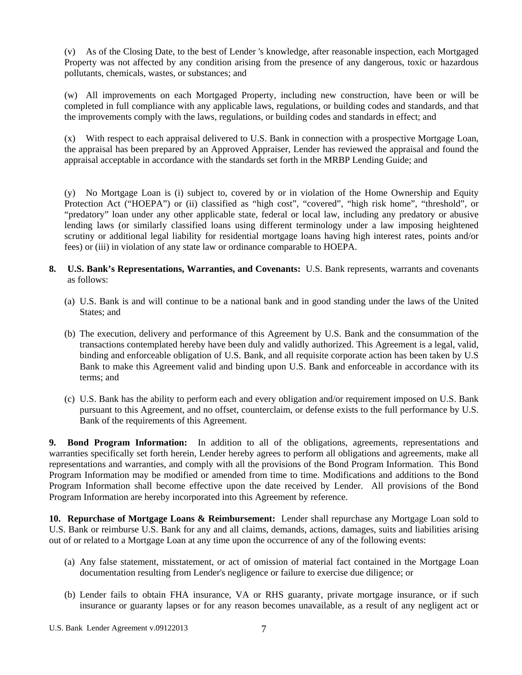(v) As of the Closing Date, to the best of Lender 's knowledge, after reasonable inspection, each Mortgaged Property was not affected by any condition arising from the presence of any dangerous, toxic or hazardous pollutants, chemicals, wastes, or substances; and

(w) All improvements on each Mortgaged Property, including new construction, have been or will be completed in full compliance with any applicable laws, regulations, or building codes and standards, and that the improvements comply with the laws, regulations, or building codes and standards in effect; and

(x) With respect to each appraisal delivered to U.S. Bank in connection with a prospective Mortgage Loan, the appraisal has been prepared by an Approved Appraiser, Lender has reviewed the appraisal and found the appraisal acceptable in accordance with the standards set forth in the MRBP Lending Guide; and

(y) No Mortgage Loan is (i) subject to, covered by or in violation of the Home Ownership and Equity Protection Act ("HOEPA") or (ii) classified as "high cost", "covered", "high risk home", "threshold", or "predatory" loan under any other applicable state, federal or local law, including any predatory or abusive lending laws (or similarly classified loans using different terminology under a law imposing heightened scrutiny or additional legal liability for residential mortgage loans having high interest rates, points and/or fees) or (iii) in violation of any state law or ordinance comparable to HOEPA.

- **8. U.S. Bank's Representations, Warranties, and Covenants:** U.S. Bank represents, warrants and covenants as follows:
	- (a) U.S. Bank is and will continue to be a national bank and in good standing under the laws of the United States; and
	- (b) The execution, delivery and performance of this Agreement by U.S. Bank and the consummation of the transactions contemplated hereby have been duly and validly authorized. This Agreement is a legal, valid, binding and enforceable obligation of U.S. Bank, and all requisite corporate action has been taken by U.S Bank to make this Agreement valid and binding upon U.S. Bank and enforceable in accordance with its terms; and
	- (c) U.S. Bank has the ability to perform each and every obligation and/or requirement imposed on U.S. Bank pursuant to this Agreement, and no offset, counterclaim, or defense exists to the full performance by U.S. Bank of the requirements of this Agreement.

**9. Bond Program Information:** In addition to all of the obligations, agreements, representations and warranties specifically set forth herein, Lender hereby agrees to perform all obligations and agreements, make all representations and warranties, and comply with all the provisions of the Bond Program Information. This Bond Program Information may be modified or amended from time to time. Modifications and additions to the Bond Program Information shall become effective upon the date received by Lender. All provisions of the Bond Program Information are hereby incorporated into this Agreement by reference.

**10. Repurchase of Mortgage Loans & Reimbursement:** Lender shall repurchase any Mortgage Loan sold to U.S. Bank or reimburse U.S. Bank for any and all claims, demands, actions, damages, suits and liabilities arising out of or related to a Mortgage Loan at any time upon the occurrence of any of the following events:

- (a) Any false statement, misstatement, or act of omission of material fact contained in the Mortgage Loan documentation resulting from Lender's negligence or failure to exercise due diligence; or
- (b) Lender fails to obtain FHA insurance, VA or RHS guaranty, private mortgage insurance, or if such insurance or guaranty lapses or for any reason becomes unavailable, as a result of any negligent act or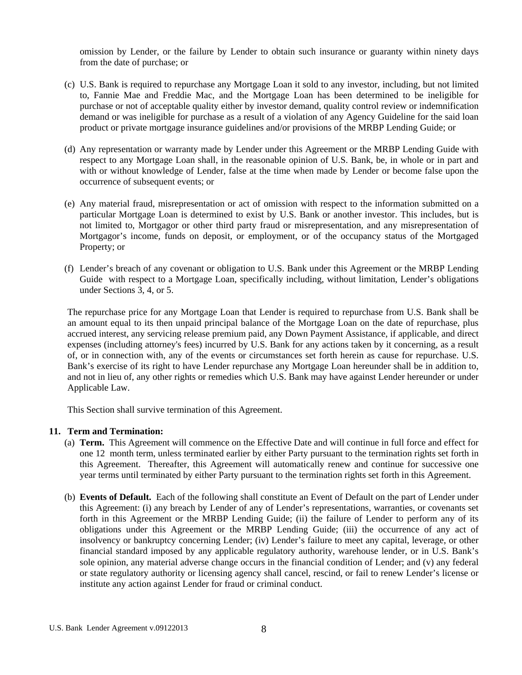omission by Lender, or the failure by Lender to obtain such insurance or guaranty within ninety days from the date of purchase; or

- (c) U.S. Bank is required to repurchase any Mortgage Loan it sold to any investor, including, but not limited to, Fannie Mae and Freddie Mac, and the Mortgage Loan has been determined to be ineligible for purchase or not of acceptable quality either by investor demand, quality control review or indemnification demand or was ineligible for purchase as a result of a violation of any Agency Guideline for the said loan product or private mortgage insurance guidelines and/or provisions of the MRBP Lending Guide; or
- (d) Any representation or warranty made by Lender under this Agreement or the MRBP Lending Guide with respect to any Mortgage Loan shall, in the reasonable opinion of U.S. Bank, be, in whole or in part and with or without knowledge of Lender, false at the time when made by Lender or become false upon the occurrence of subsequent events; or
- (e) Any material fraud, misrepresentation or act of omission with respect to the information submitted on a particular Mortgage Loan is determined to exist by U.S. Bank or another investor. This includes, but is not limited to, Mortgagor or other third party fraud or misrepresentation, and any misrepresentation of Mortgagor's income, funds on deposit, or employment, or of the occupancy status of the Mortgaged Property; or
- (f) Lender's breach of any covenant or obligation to U.S. Bank under this Agreement or the MRBP Lending Guide with respect to a Mortgage Loan, specifically including, without limitation, Lender's obligations under Sections 3, 4, or 5.

The repurchase price for any Mortgage Loan that Lender is required to repurchase from U.S. Bank shall be an amount equal to its then unpaid principal balance of the Mortgage Loan on the date of repurchase, plus accrued interest, any servicing release premium paid, any Down Payment Assistance, if applicable, and direct expenses (including attorney's fees) incurred by U.S. Bank for any actions taken by it concerning, as a result of, or in connection with, any of the events or circumstances set forth herein as cause for repurchase. U.S. Bank's exercise of its right to have Lender repurchase any Mortgage Loan hereunder shall be in addition to, and not in lieu of, any other rights or remedies which U.S. Bank may have against Lender hereunder or under Applicable Law.

This Section shall survive termination of this Agreement.

# **11. Term and Termination:**

- (a) **Term.** This Agreement will commence on the Effective Date and will continue in full force and effect for one 12 month term, unless terminated earlier by either Party pursuant to the termination rights set forth in this Agreement. Thereafter, this Agreement will automatically renew and continue for successive one year terms until terminated by either Party pursuant to the termination rights set forth in this Agreement.
- (b) **Events of Default.** Each of the following shall constitute an Event of Default on the part of Lender under this Agreement: (i) any breach by Lender of any of Lender's representations, warranties, or covenants set forth in this Agreement or the MRBP Lending Guide; (ii) the failure of Lender to perform any of its obligations under this Agreement or the MRBP Lending Guide; (iii) the occurrence of any act of insolvency or bankruptcy concerning Lender; (iv) Lender's failure to meet any capital, leverage, or other financial standard imposed by any applicable regulatory authority, warehouse lender, or in U.S. Bank's sole opinion, any material adverse change occurs in the financial condition of Lender; and (v) any federal or state regulatory authority or licensing agency shall cancel, rescind, or fail to renew Lender's license or institute any action against Lender for fraud or criminal conduct.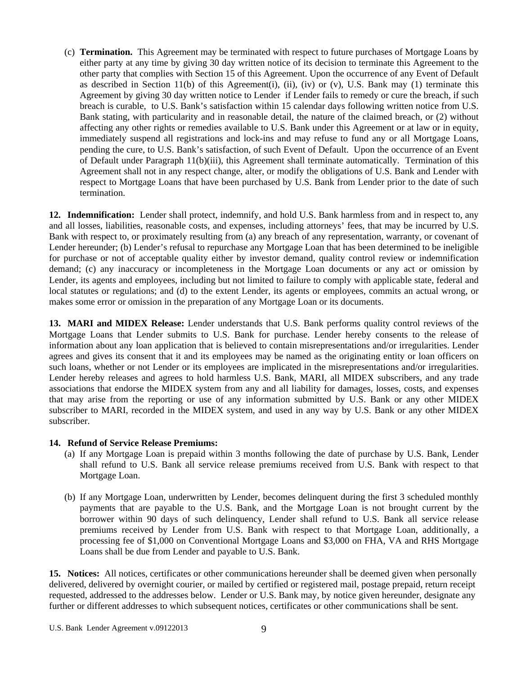(c) **Termination.** This Agreement may be terminated with respect to future purchases of Mortgage Loans by either party at any time by giving 30 day written notice of its decision to terminate this Agreement to the other party that complies with Section 15 of this Agreement. Upon the occurrence of any Event of Default as described in Section 11(b) of this Agreement(i), (ii), (iv) or (v), U.S. Bank may (1) terminate this Agreement by giving 30 day written notice to Lender if Lender fails to remedy or cure the breach, if such breach is curable, to U.S. Bank's satisfaction within 15 calendar days following written notice from U.S. Bank stating, with particularity and in reasonable detail, the nature of the claimed breach, or (2) without affecting any other rights or remedies available to U.S. Bank under this Agreement or at law or in equity, immediately suspend all registrations and lock-ins and may refuse to fund any or all Mortgage Loans, pending the cure, to U.S. Bank's satisfaction, of such Event of Default. Upon the occurrence of an Event of Default under Paragraph 11(b)(iii), this Agreement shall terminate automatically. Termination of this Agreement shall not in any respect change, alter, or modify the obligations of U.S. Bank and Lender with respect to Mortgage Loans that have been purchased by U.S. Bank from Lender prior to the date of such termination.

**12. Indemnification:** Lender shall protect, indemnify, and hold U.S. Bank harmless from and in respect to, any and all losses, liabilities, reasonable costs, and expenses, including attorneys' fees, that may be incurred by U.S. Bank with respect to, or proximately resulting from (a) any breach of any representation, warranty, or covenant of Lender hereunder; (b) Lender's refusal to repurchase any Mortgage Loan that has been determined to be ineligible for purchase or not of acceptable quality either by investor demand, quality control review or indemnification demand; (c) any inaccuracy or incompleteness in the Mortgage Loan documents or any act or omission by Lender, its agents and employees, including but not limited to failure to comply with applicable state, federal and local statutes or regulations; and (d) to the extent Lender, its agents or employees, commits an actual wrong, or makes some error or omission in the preparation of any Mortgage Loan or its documents.

**13. MARI and MIDEX Release:** Lender understands that U.S. Bank performs quality control reviews of the Mortgage Loans that Lender submits to U.S. Bank for purchase. Lender hereby consents to the release of information about any loan application that is believed to contain misrepresentations and/or irregularities. Lender agrees and gives its consent that it and its employees may be named as the originating entity or loan officers on such loans, whether or not Lender or its employees are implicated in the misrepresentations and/or irregularities. Lender hereby releases and agrees to hold harmless U.S. Bank, MARI, all MIDEX subscribers, and any trade associations that endorse the MIDEX system from any and all liability for damages, losses, costs, and expenses that may arise from the reporting or use of any information submitted by U.S. Bank or any other MIDEX subscriber to MARI, recorded in the MIDEX system, and used in any way by U.S. Bank or any other MIDEX subscriber.

## **14. Refund of Service Release Premiums:**

- (a) If any Mortgage Loan is prepaid within 3 months following the date of purchase by U.S. Bank, Lender shall refund to U.S. Bank all service release premiums received from U.S. Bank with respect to that Mortgage Loan.
- (b) If any Mortgage Loan, underwritten by Lender, becomes delinquent during the first 3 scheduled monthly payments that are payable to the U.S. Bank, and the Mortgage Loan is not brought current by the borrower within 90 days of such delinquency, Lender shall refund to U.S. Bank all service release premiums received by Lender from U.S. Bank with respect to that Mortgage Loan, additionally, a processing fee of \$1,000 on Conventional Mortgage Loans and \$3,000 on FHA, VA and RHS Mortgage Loans shall be due from Lender and payable to U.S. Bank.

**15. Notices:** All notices, certificates or other communications hereunder shall be deemed given when personally delivered, delivered by overnight courier, or mailed by certified or registered mail, postage prepaid, return receipt requested, addressed to the addresses below. Lender or U.S. Bank may, by notice given hereunder, designate any further or different addresses to which subsequent notices, certificates or other communications shall be sent.

U.S. Bank Lender Agreement v.09122013 9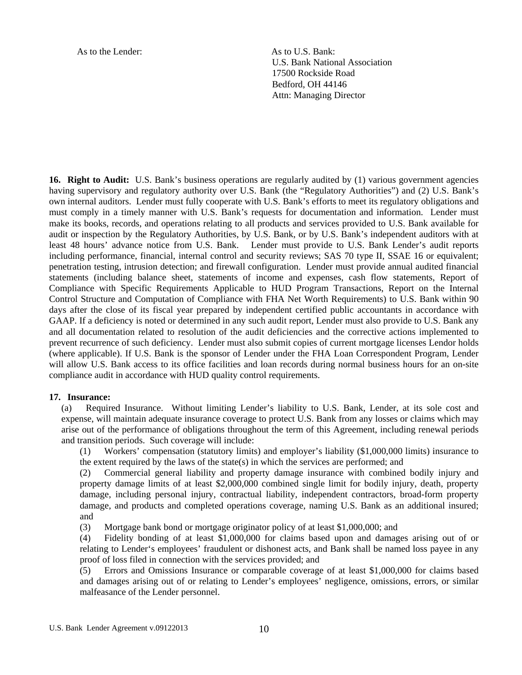As to the Lender: As to U.S. Bank:

U.S. Bank National Association 17500 Rockside Road Bedford, OH 44146 Attn: Managing Director

**16. Right to Audit:** U.S. Bank's business operations are regularly audited by (1) various government agencies having supervisory and regulatory authority over U.S. Bank (the "Regulatory Authorities") and (2) U.S. Bank's own internal auditors. Lender must fully cooperate with U.S. Bank's efforts to meet its regulatory obligations and must comply in a timely manner with U.S. Bank's requests for documentation and information. Lender must make its books, records, and operations relating to all products and services provided to U.S. Bank available for audit or inspection by the Regulatory Authorities, by U.S. Bank, or by U.S. Bank's independent auditors with at least 48 hours' advance notice from U.S. Bank. Lender must provide to U.S. Bank Lender's audit reports including performance, financial, internal control and security reviews; SAS 70 type II, SSAE 16 or equivalent; penetration testing, intrusion detection; and firewall configuration. Lender must provide annual audited financial statements (including balance sheet, statements of income and expenses, cash flow statements, Report of Compliance with Specific Requirements Applicable to HUD Program Transactions, Report on the Internal Control Structure and Computation of Compliance with FHA Net Worth Requirements) to U.S. Bank within 90 days after the close of its fiscal year prepared by independent certified public accountants in accordance with GAAP. If a deficiency is noted or determined in any such audit report, Lender must also provide to U.S. Bank any and all documentation related to resolution of the audit deficiencies and the corrective actions implemented to prevent recurrence of such deficiency. Lender must also submit copies of current mortgage licenses Lendor holds (where applicable). If U.S. Bank is the sponsor of Lender under the FHA Loan Correspondent Program, Lender will allow U.S. Bank access to its office facilities and loan records during normal business hours for an on-site compliance audit in accordance with HUD quality control requirements.

### **17. Insurance:**

(a) Required Insurance. Without limiting Lender's liability to U.S. Bank, Lender, at its sole cost and expense, will maintain adequate insurance coverage to protect U.S. Bank from any losses or claims which may arise out of the performance of obligations throughout the term of this Agreement, including renewal periods and transition periods. Such coverage will include:

(1) Workers' compensation (statutory limits) and employer's liability (\$1,000,000 limits) insurance to the extent required by the laws of the state(s) in which the services are performed; and

(2) Commercial general liability and property damage insurance with combined bodily injury and property damage limits of at least \$2,000,000 combined single limit for bodily injury, death, property damage, including personal injury, contractual liability, independent contractors, broad-form property damage, and products and completed operations coverage, naming U.S. Bank as an additional insured; and

(3) Mortgage bank bond or mortgage originator policy of at least \$1,000,000; and

(4) Fidelity bonding of at least \$1,000,000 for claims based upon and damages arising out of or relating to Lender's employees' fraudulent or dishonest acts, and Bank shall be named loss payee in any proof of loss filed in connection with the services provided; and

(5) Errors and Omissions Insurance or comparable coverage of at least \$1,000,000 for claims based and damages arising out of or relating to Lender's employees' negligence, omissions, errors, or similar malfeasance of the Lender personnel.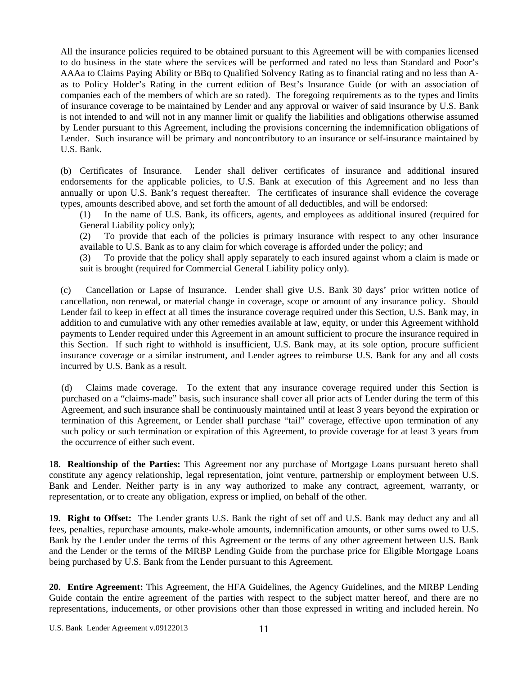All the insurance policies required to be obtained pursuant to this Agreement will be with companies licensed to do business in the state where the services will be performed and rated no less than Standard and Poor's AAAa to Claims Paying Ability or BBq to Qualified Solvency Rating as to financial rating and no less than Aas to Policy Holder's Rating in the current edition of Best's Insurance Guide (or with an association of companies each of the members of which are so rated). The foregoing requirements as to the types and limits of insurance coverage to be maintained by Lender and any approval or waiver of said insurance by U.S. Bank is not intended to and will not in any manner limit or qualify the liabilities and obligations otherwise assumed by Lender pursuant to this Agreement, including the provisions concerning the indemnification obligations of Lender. Such insurance will be primary and noncontributory to an insurance or self-insurance maintained by U.S. Bank.

(b) Certificates of Insurance. Lender shall deliver certificates of insurance and additional insured endorsements for the applicable policies, to U.S. Bank at execution of this Agreement and no less than annually or upon U.S. Bank's request thereafter. The certificates of insurance shall evidence the coverage types, amounts described above, and set forth the amount of all deductibles, and will be endorsed:

(1) In the name of U.S. Bank, its officers, agents, and employees as additional insured (required for General Liability policy only);

(2) To provide that each of the policies is primary insurance with respect to any other insurance available to U.S. Bank as to any claim for which coverage is afforded under the policy; and

(3) To provide that the policy shall apply separately to each insured against whom a claim is made or suit is brought (required for Commercial General Liability policy only).

(c) Cancellation or Lapse of Insurance. Lender shall give U.S. Bank 30 days' prior written notice of cancellation, non renewal, or material change in coverage, scope or amount of any insurance policy. Should Lender fail to keep in effect at all times the insurance coverage required under this Section, U.S. Bank may, in addition to and cumulative with any other remedies available at law, equity, or under this Agreement withhold payments to Lender required under this Agreement in an amount sufficient to procure the insurance required in this Section. If such right to withhold is insufficient, U.S. Bank may, at its sole option, procure sufficient insurance coverage or a similar instrument, and Lender agrees to reimburse U.S. Bank for any and all costs incurred by U.S. Bank as a result.

(d) Claims made coverage. To the extent that any insurance coverage required under this Section is purchased on a "claims-made" basis, such insurance shall cover all prior acts of Lender during the term of this Agreement, and such insurance shall be continuously maintained until at least 3 years beyond the expiration or termination of this Agreement, or Lender shall purchase "tail" coverage, effective upon termination of any such policy or such termination or expiration of this Agreement, to provide coverage for at least 3 years from the occurrence of either such event.

**18. Realtionship of the Parties:** This Agreement nor any purchase of Mortgage Loans pursuant hereto shall constitute any agency relationship, legal representation, joint venture, partnership or employment between U.S. Bank and Lender. Neither party is in any way authorized to make any contract, agreement, warranty, or representation, or to create any obligation, express or implied, on behalf of the other.

**19. Right to Offset:** The Lender grants U.S. Bank the right of set off and U.S. Bank may deduct any and all fees, penalties, repurchase amounts, make-whole amounts, indemnification amounts, or other sums owed to U.S. Bank by the Lender under the terms of this Agreement or the terms of any other agreement between U.S. Bank and the Lender or the terms of the MRBP Lending Guide from the purchase price for Eligible Mortgage Loans being purchased by U.S. Bank from the Lender pursuant to this Agreement.

**20. Entire Agreement:** This Agreement, the HFA Guidelines, the Agency Guidelines, and the MRBP Lending Guide contain the entire agreement of the parties with respect to the subject matter hereof, and there are no representations, inducements, or other provisions other than those expressed in writing and included herein. No

U.S. Bank Lender Agreement v.09122013 11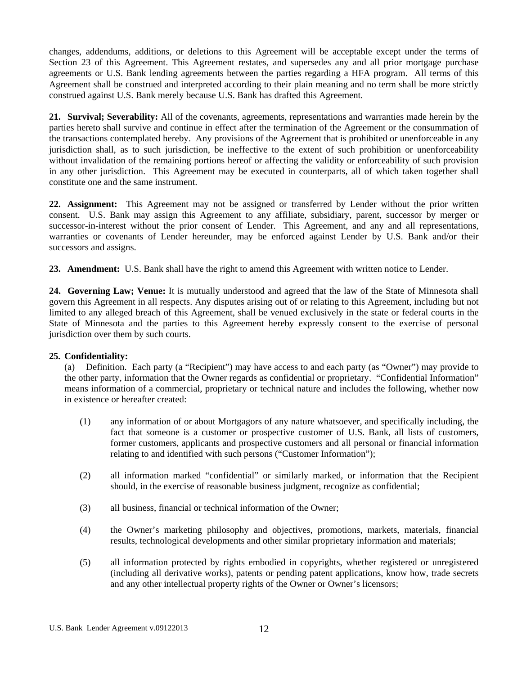changes, addendums, additions, or deletions to this Agreement will be acceptable except under the terms of Section 23 of this Agreement. This Agreement restates, and supersedes any and all prior mortgage purchase agreements or U.S. Bank lending agreements between the parties regarding a HFA program. All terms of this Agreement shall be construed and interpreted according to their plain meaning and no term shall be more strictly construed against U.S. Bank merely because U.S. Bank has drafted this Agreement.

**21. Survival; Severability:** All of the covenants, agreements, representations and warranties made herein by the parties hereto shall survive and continue in effect after the termination of the Agreement or the consummation of the transactions contemplated hereby. Any provisions of the Agreement that is prohibited or unenforceable in any jurisdiction shall, as to such jurisdiction, be ineffective to the extent of such prohibition or unenforceability without invalidation of the remaining portions hereof or affecting the validity or enforceability of such provision in any other jurisdiction. This Agreement may be executed in counterparts, all of which taken together shall constitute one and the same instrument.

**22. Assignment:** This Agreement may not be assigned or transferred by Lender without the prior written consent. U.S. Bank may assign this Agreement to any affiliate, subsidiary, parent, successor by merger or successor-in-interest without the prior consent of Lender. This Agreement, and any and all representations, warranties or covenants of Lender hereunder, may be enforced against Lender by U.S. Bank and/or their successors and assigns.

**23. Amendment:** U.S. Bank shall have the right to amend this Agreement with written notice to Lender.

**24. Governing Law; Venue:** It is mutually understood and agreed that the law of the State of Minnesota shall govern this Agreement in all respects. Any disputes arising out of or relating to this Agreement, including but not limited to any alleged breach of this Agreement, shall be venued exclusively in the state or federal courts in the State of Minnesota and the parties to this Agreement hereby expressly consent to the exercise of personal jurisdiction over them by such courts.

## **25. Confidentiality:**

(a) Definition. Each party (a "Recipient") may have access to and each party (as "Owner") may provide to the other party, information that the Owner regards as confidential or proprietary. "Confidential Information" means information of a commercial, proprietary or technical nature and includes the following, whether now in existence or hereafter created:

- (1) any information of or about Mortgagors of any nature whatsoever, and specifically including, the fact that someone is a customer or prospective customer of U.S. Bank, all lists of customers, former customers, applicants and prospective customers and all personal or financial information relating to and identified with such persons ("Customer Information");
- (2) all information marked "confidential" or similarly marked, or information that the Recipient should, in the exercise of reasonable business judgment, recognize as confidential;
- (3) all business, financial or technical information of the Owner;
- (4) the Owner's marketing philosophy and objectives, promotions, markets, materials, financial results, technological developments and other similar proprietary information and materials;
- (5) all information protected by rights embodied in copyrights, whether registered or unregistered (including all derivative works), patents or pending patent applications, know how, trade secrets and any other intellectual property rights of the Owner or Owner's licensors;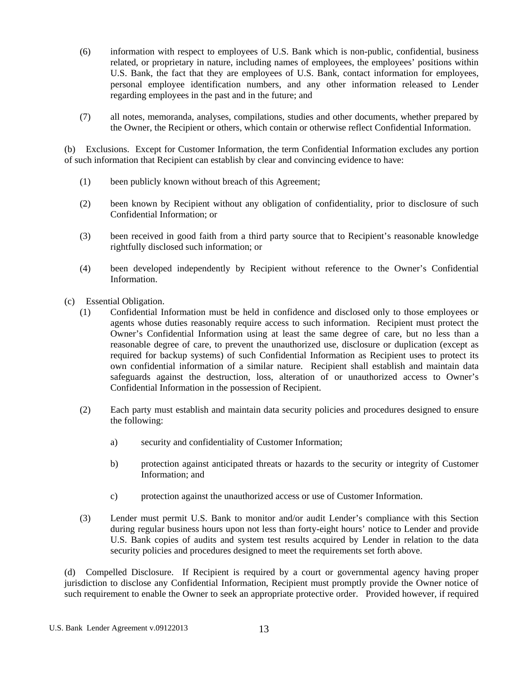- (6) information with respect to employees of U.S. Bank which is non-public, confidential, business related, or proprietary in nature, including names of employees, the employees' positions within U.S. Bank, the fact that they are employees of U.S. Bank, contact information for employees, personal employee identification numbers, and any other information released to Lender regarding employees in the past and in the future; and
- (7) all notes, memoranda, analyses, compilations, studies and other documents, whether prepared by the Owner, the Recipient or others, which contain or otherwise reflect Confidential Information.

(b) Exclusions. Except for Customer Information, the term Confidential Information excludes any portion of such information that Recipient can establish by clear and convincing evidence to have:

- (1) been publicly known without breach of this Agreement;
- (2) been known by Recipient without any obligation of confidentiality, prior to disclosure of such Confidential Information; or
- (3) been received in good faith from a third party source that to Recipient's reasonable knowledge rightfully disclosed such information; or
- (4) been developed independently by Recipient without reference to the Owner's Confidential Information.
- (c) Essential Obligation.
	- (1) Confidential Information must be held in confidence and disclosed only to those employees or agents whose duties reasonably require access to such information. Recipient must protect the Owner's Confidential Information using at least the same degree of care, but no less than a reasonable degree of care, to prevent the unauthorized use, disclosure or duplication (except as required for backup systems) of such Confidential Information as Recipient uses to protect its own confidential information of a similar nature. Recipient shall establish and maintain data safeguards against the destruction, loss, alteration of or unauthorized access to Owner's Confidential Information in the possession of Recipient.
	- (2) Each party must establish and maintain data security policies and procedures designed to ensure the following:
		- a) security and confidentiality of Customer Information;
		- b) protection against anticipated threats or hazards to the security or integrity of Customer Information; and
		- c) protection against the unauthorized access or use of Customer Information.
	- (3) Lender must permit U.S. Bank to monitor and/or audit Lender's compliance with this Section during regular business hours upon not less than forty-eight hours' notice to Lender and provide U.S. Bank copies of audits and system test results acquired by Lender in relation to the data security policies and procedures designed to meet the requirements set forth above.

(d) Compelled Disclosure. If Recipient is required by a court or governmental agency having proper jurisdiction to disclose any Confidential Information, Recipient must promptly provide the Owner notice of such requirement to enable the Owner to seek an appropriate protective order. Provided however, if required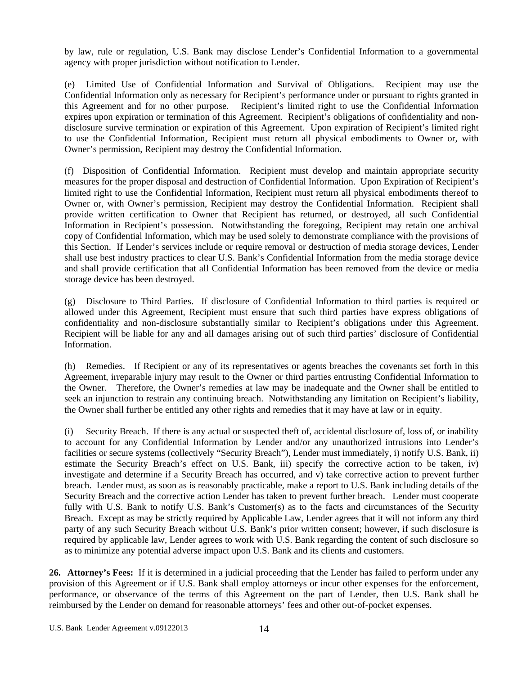by law, rule or regulation, U.S. Bank may disclose Lender's Confidential Information to a governmental agency with proper jurisdiction without notification to Lender.

(e) Limited Use of Confidential Information and Survival of Obligations. Recipient may use the Confidential Information only as necessary for Recipient's performance under or pursuant to rights granted in this Agreement and for no other purpose. Recipient's limited right to use the Confidential Information expires upon expiration or termination of this Agreement. Recipient's obligations of confidentiality and nondisclosure survive termination or expiration of this Agreement. Upon expiration of Recipient's limited right to use the Confidential Information, Recipient must return all physical embodiments to Owner or, with Owner's permission, Recipient may destroy the Confidential Information.

(f) Disposition of Confidential Information. Recipient must develop and maintain appropriate security measures for the proper disposal and destruction of Confidential Information. Upon Expiration of Recipient's limited right to use the Confidential Information, Recipient must return all physical embodiments thereof to Owner or, with Owner's permission, Recipient may destroy the Confidential Information. Recipient shall provide written certification to Owner that Recipient has returned, or destroyed, all such Confidential Information in Recipient's possession. Notwithstanding the foregoing, Recipient may retain one archival copy of Confidential Information, which may be used solely to demonstrate compliance with the provisions of this Section. If Lender's services include or require removal or destruction of media storage devices, Lender shall use best industry practices to clear U.S. Bank's Confidential Information from the media storage device and shall provide certification that all Confidential Information has been removed from the device or media storage device has been destroyed.

(g) Disclosure to Third Parties. If disclosure of Confidential Information to third parties is required or allowed under this Agreement, Recipient must ensure that such third parties have express obligations of confidentiality and non-disclosure substantially similar to Recipient's obligations under this Agreement. Recipient will be liable for any and all damages arising out of such third parties' disclosure of Confidential Information.

(h) Remedies. If Recipient or any of its representatives or agents breaches the covenants set forth in this Agreement, irreparable injury may result to the Owner or third parties entrusting Confidential Information to the Owner. Therefore, the Owner's remedies at law may be inadequate and the Owner shall be entitled to seek an injunction to restrain any continuing breach. Notwithstanding any limitation on Recipient's liability, the Owner shall further be entitled any other rights and remedies that it may have at law or in equity.

(i) Security Breach. If there is any actual or suspected theft of, accidental disclosure of, loss of, or inability to account for any Confidential Information by Lender and/or any unauthorized intrusions into Lender's facilities or secure systems (collectively "Security Breach"), Lender must immediately, i) notify U.S. Bank, ii) estimate the Security Breach's effect on U.S. Bank, iii) specify the corrective action to be taken, iv) investigate and determine if a Security Breach has occurred, and v) take corrective action to prevent further breach. Lender must, as soon as is reasonably practicable, make a report to U.S. Bank including details of the Security Breach and the corrective action Lender has taken to prevent further breach. Lender must cooperate fully with U.S. Bank to notify U.S. Bank's Customer(s) as to the facts and circumstances of the Security Breach. Except as may be strictly required by Applicable Law, Lender agrees that it will not inform any third party of any such Security Breach without U.S. Bank's prior written consent; however, if such disclosure is required by applicable law, Lender agrees to work with U.S. Bank regarding the content of such disclosure so as to minimize any potential adverse impact upon U.S. Bank and its clients and customers.

**26. Attorney's Fees:** If it is determined in a judicial proceeding that the Lender has failed to perform under any provision of this Agreement or if U.S. Bank shall employ attorneys or incur other expenses for the enforcement, performance, or observance of the terms of this Agreement on the part of Lender, then U.S. Bank shall be reimbursed by the Lender on demand for reasonable attorneys' fees and other out-of-pocket expenses.